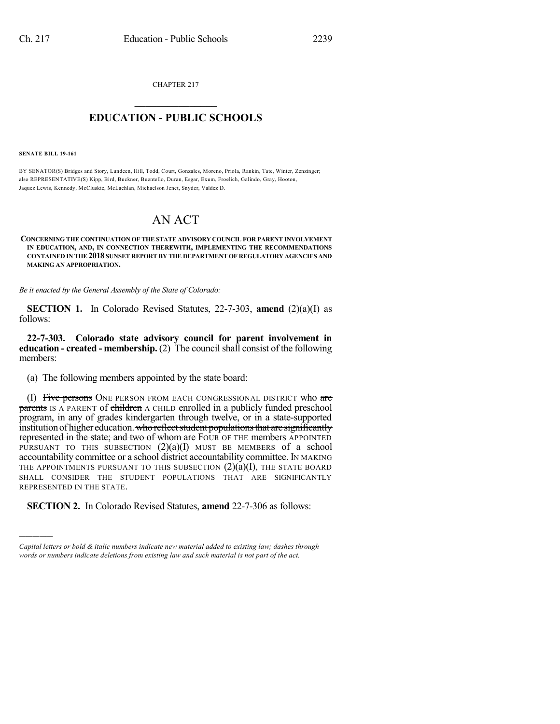CHAPTER 217

## $\overline{\phantom{a}}$  . The set of the set of the set of the set of the set of the set of the set of the set of the set of the set of the set of the set of the set of the set of the set of the set of the set of the set of the set o **EDUCATION - PUBLIC SCHOOLS**  $\_$   $\_$   $\_$   $\_$   $\_$   $\_$   $\_$   $\_$   $\_$

**SENATE BILL 19-161**

)))))

BY SENATOR(S) Bridges and Story, Lundeen, Hill, Todd, Court, Gonzales, Moreno, Priola, Rankin, Tate, Winter, Zenzinger; also REPRESENTATIVE(S) Kipp, Bird, Buckner, Buentello, Duran, Esgar, Exum, Froelich, Galindo, Gray, Hooton, Jaquez Lewis, Kennedy, McCluskie, McLachlan, Michaelson Jenet, Snyder, Valdez D.

## AN ACT

## **CONCERNING THE CONTINUATION OF THE STATE ADVISORY COUNCIL FOR PARENT INVOLVEMENT IN EDUCATION, AND, IN CONNECTION THEREWITH, IMPLEMENTING THE RECOMMENDATIONS CONTAINED IN THE 2018 SUNSET REPORT BY THE DEPARTMENT OF REGULATORY AGENCIES AND MAKING AN APPROPRIATION.**

*Be it enacted by the General Assembly of the State of Colorado:*

**SECTION 1.** In Colorado Revised Statutes, 22-7-303, **amend** (2)(a)(I) as follows:

**22-7-303. Colorado state advisory council for parent involvement in education - created - membership.** (2) The councilshall consist of the following members:

(a) The following members appointed by the state board:

(I) Five persons ONE PERSON FROM EACH CONGRESSIONAL DISTRICT who are **parents** IS A PARENT of children A CHILD enrolled in a publicly funded preschool program, in any of grades kindergarten through twelve, or in a state-supported institution of higher education. who reflect student populations that are significantly represented in the state; and two of whom are FOUR OF THE members APPOINTED PURSUANT TO THIS SUBSECTION (2)(a)(I) MUST BE MEMBERS of a school accountability committee or a school district accountability committee. IN MAKING THE APPOINTMENTS PURSUANT TO THIS SUBSECTION  $(2)(a)(I)$ , THE STATE BOARD SHALL CONSIDER THE STUDENT POPULATIONS THAT ARE SIGNIFICANTLY REPRESENTED IN THE STATE.

**SECTION 2.** In Colorado Revised Statutes, **amend** 22-7-306 as follows:

*Capital letters or bold & italic numbers indicate new material added to existing law; dashes through words or numbers indicate deletions from existing law and such material is not part of the act.*